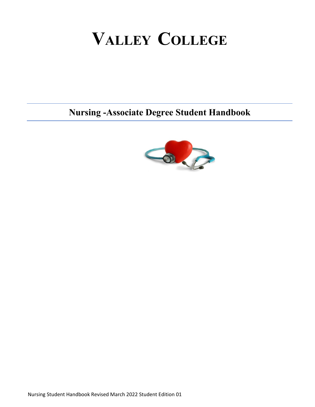# **VALLEY COLLEGE**

**Nursing -Associate Degree Student Handbook**

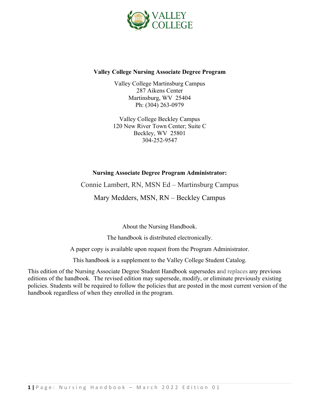

#### **Valley College Nursing Associate Degree Program**

Valley College Martinsburg Campus 287 Aikens Center Martinsburg, WV 25404 Ph: (304) 263-0979

Valley College Beckley Campus 120 New River Town Center; Suite C Beckley, WV 25801 304-252-9547

#### **Nursing Associate Degree Program Administrator:**

Connie Lambert, RN, MSN Ed – Martinsburg Campus

Mary Medders, MSN, RN – Beckley Campus

About the Nursing Handbook.

The handbook is distributed electronically.

A paper copy is available upon request from the Program Administrator.

This handbook is a supplement to the Valley College Student Catalog.

This edition of the Nursing Associate Degree Student Handbook supersedes and replaces any previous editions of the handbook. The revised edition may supersede, modify, or eliminate previously existing policies. Students will be required to follow the policies that are posted in the most current version of the handbook regardless of when they enrolled in the program.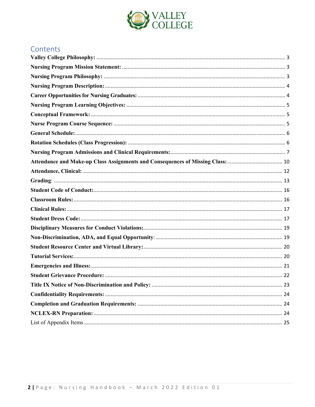

# Contents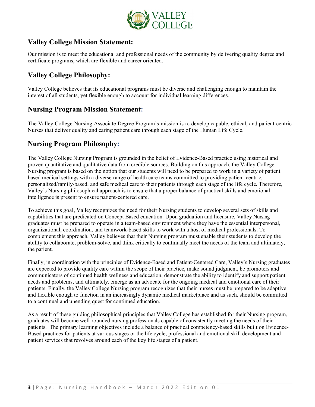

# **Valley College Mission Statement:**

Our mission is to meet the educational and professional needs of the community by delivering quality degree and certificate programs, which are flexible and career oriented.

# <span id="page-3-0"></span>**Valley College Philosophy:**

Valley College believes that its educational programs must be diverse and challenging enough to maintain the interest of all students, yet flexible enough to account for individual learning differences.

#### <span id="page-3-1"></span>**Nursing Program Mission Statement:**

The Valley College Nursing Associate Degree Program's mission is to develop capable, ethical, and patient-centric Nurses that deliver quality and caring patient care through each stage of the Human Life Cycle.

# <span id="page-3-2"></span>**Nursing Program Philosophy:**

The Valley College Nursing Program is grounded in the belief of Evidence-Based practice using historical and proven quantitative and qualitative data from credible sources. Building on this approach, the Valley College Nursing program is based on the notion that our students will need to be prepared to work in a variety of patient based medical settings with a diverse range of health care teams committed to providing patient-centric, personalized/family-based, and safe medical care to their patients through each stage of the life cycle. Therefore, Valley's Nursing philosophical approach is to ensure that a proper balance of practical skills and emotional intelligence is present to ensure patient-centered care.

To achieve this goal, Valley recognizes the need for their Nursing students to develop several sets of skills and capabilities that are predicated on Concept Based education. Upon graduation and licensure, Valley Nursing graduates must be prepared to operate in a team-based environment where they have the essential interpersonal, organizational, coordination, and teamwork-based skills to work with a host of medical professionals. To complement this approach, Valley believes that their Nursing program must enable their students to develop the ability to collaborate, problem-solve, and think critically to continually meet the needs of the team and ultimately, the patient.

Finally, in coordination with the principles of Evidence-Based and Patient-Centered Care, Valley's Nursing graduates are expected to provide quality care within the scope of their practice, make sound judgment, be promoters and communicators of continued health wellness and education, demonstrate the ability to identify and support patient needs and problems, and ultimately, emerge as an advocate for the ongoing medical and emotional care of their patients. Finally, the Valley College Nursing program recognizes that their nurses must be prepared to be adaptive and flexible enough to function in an increasingly dynamic medical marketplace and as such, should be committed to a continual and unending quest for continued education.

As a result of these guiding philosophical principles that Valley College has established for their Nursing program, graduates will become well-rounded nursing professionals capable of consistently meeting the needs of their patients. The primary learning objectives include a balance of practical competency-based skills built on Evidence-Based practices for patients at various stages or the life cycle, professional and emotional skill development and patient services that revolves around each of the key life stages of a patient.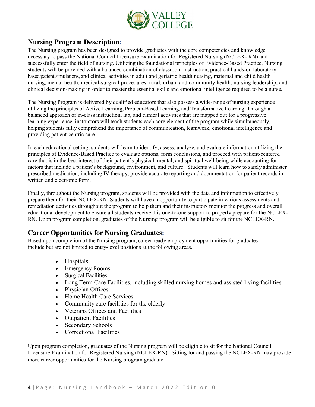

# <span id="page-4-0"></span>**Nursing Program Description:**

The Nursing program has been designed to provide graduates with the core competencies and knowledge necessary to pass the National Council Licensure Examination for Registered Nursing (NCLEX- RN) and successfully enter the field of nursing. Utilizing the foundational principles of Evidence-Based Practice, Nursing students will be provided with a balanced combination of classroom instruction, practical hands-on laboratory based patient simulations, and clinical activities in adult and geriatric health nursing, maternal and child health nursing, mental health, medical-surgical procedures, rural, urban, and community health, nursing leadership, and clinical decision-making in order to master the essential skills and emotional intelligence required to be a nurse.

The Nursing Program is delivered by qualified educators that also possess a wide-range of nursing experience utilizing the principles of Active Learning, Problem-Based Learning, and Transformative Learning. Through a balanced approach of in-class instruction, lab, and clinical activities that are mapped out for a progressive learning experience, instructors will teach students each core element of the program while simultaneously, helping students fully comprehend the importance of communication, teamwork, emotional intelligence and providing patient-centric care.

In each educational setting, students will learn to identify, assess, analyze, and evaluate information utilizing the principles of Evidence-Based Practice to evaluate options, form conclusions, and proceed with patient-centered care that is in the best interest of their patient's physical, mental, and spiritual well-being while accounting for factors that include a patient's background, environment, and culture. Students will learn how to safely administer prescribed medication, including IV therapy, provide accurate reporting and documentation for patient records in written and electronic form.

Finally, throughout the Nursing program, students will be provided with the data and information to effectively prepare them for their NCLEX-RN. Students will have an opportunity to participate in various assessments and remediation activities throughout the program to help them and their instructors monitor the progress and overall educational development to ensure all students receive this one-to-one support to properly prepare for the NCLEX-RN. Upon program completion, graduates of the Nursing program will be eligible to sit for the NCLEX-RN.

# <span id="page-4-1"></span>**Career Opportunities for Nursing Graduates:**

Based upon completion of the Nursing program, career ready employment opportunities for graduates include but are not limited to entry-level positions at the following areas.

- Hospitals
- Emergency Rooms
- Surgical Facilities
- Long Term Care Facilities, including skilled nursing homes and assisted living facilities
- Physician Offices
- Home Health Care Services
- Community care facilities for the elderly
- Veterans Offices and Facilities
- Outpatient Facilities
- Secondary Schools
- Correctional Facilities

Upon program completion, graduates of the Nursing program will be eligible to sit for the National Council Licensure Examination for Registered Nursing (NCLEX-RN). Sitting for and passing the NCLEX-RN may provide more career opportunities for the Nursing program graduate.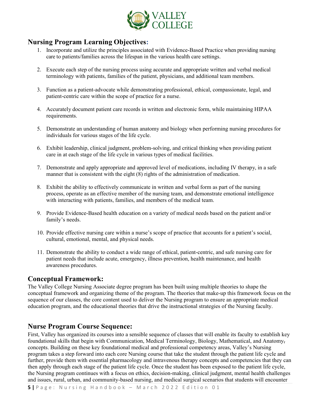

# <span id="page-5-0"></span>**Nursing Program Learning Objectives:**

- 1. Incorporate and utilize the principles associated with Evidence-Based Practice when providing nursing care to patients/families across the lifespan in the various health care settings.
- 2. Execute each step of the nursing process using accurate and appropriate written and verbal medical terminology with patients, families of the patient, physicians, and additional team members.
- 3. Function as a patient-advocate while demonstrating professional, ethical, compassionate, legal, and patient-centric care within the scope of practice for a nurse.
- 4. Accurately document patient care records in written and electronic form, while maintaining HIPAA requirements.
- 5. Demonstrate an understanding of human anatomy and biology when performing nursing procedures for individuals for various stages of the life cycle.
- 6. Exhibit leadership, clinical judgment, problem-solving, and critical thinking when providing patient care in at each stage of the life cycle in various types of medical facilities.
- 7. Demonstrate and apply appropriate and approved level of medications, including IV therapy, in a safe manner that is consistent with the eight (8) rights of the administration of medication.
- 8. Exhibit the ability to effectively communicate in written and verbal form as part of the nursing process, operate as an effective member of the nursing team, and demonstrate emotional intelligence with interacting with patients, families, and members of the medical team.
- 9. Provide Evidence-Based health education on a variety of medical needs based on the patient and/or family's needs.
- 10. Provide effective nursing care within a nurse's scope of practice that accounts for a patient's social, cultural, emotional, mental, and physical needs.
- 11. Demonstrate the ability to conduct a wide range of ethical, patient-centric, and safe nursing care for patient needs that include acute, emergency, illness prevention, health maintenance, and health awareness procedures.

#### <span id="page-5-1"></span>**Conceptual Framework:**

The Valley College Nursing Associate degree program has been built using multiple theories to shape the conceptual framework and organizing theme of the program. The theories that make-up this framework focus on the sequence of our classes, the core content used to deliver the Nursing program to ensure an appropriate medical education program, and the educational theories that drive the instructional strategies of the Nursing faculty.

# <span id="page-5-2"></span>**Nurse Program Course Sequence:**

First, Valley has organized its courses into a sensible sequence of classes that will enable its faculty to establish key foundational skills that begin with Communication, Medical Terminology, Biology, Mathematical, and Anatomy, concepts. Building on these key foundational medical and professional competency areas, Valley's Nursing program takes a step forward into each core Nursing course that take the student through the patient life cycle and further, provide them with essential pharmacology and intravenous therapy concepts and competencies that they can then apply through each stage of the patient life cycle. Once the student has been exposed to the patient life cycle, the Nursing program continues with a focus on ethics, decision-making, clinical judgment, mental health challenges and issues, rural, urban, and community-based nursing, and medical surgical scenarios that students will encounter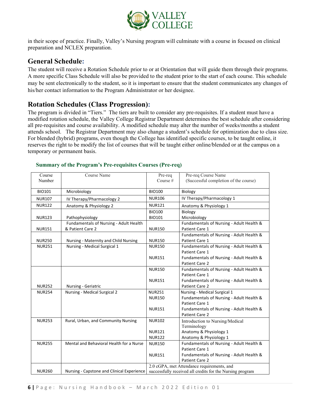

in their scope of practice. Finally, Valley's Nursing program will culminate with a course in focused on clinical preparation and NCLEX preparation.

#### <span id="page-6-0"></span>**General Schedule:**

The student will receive a Rotation Schedule prior to or at Orientation that will guide them through their programs. A more specific Class Schedule will also be provided to the student prior to the start of each course. This schedule may be sent electronically to the student, so it is important to ensure that the student communicates any changes of his/her contact information to the Program Administrator or her designee.

# <span id="page-6-1"></span>**Rotation Schedules (Class Progression):**

The program is divided in "Tiers." The tiers are built to consider any pre-requisites. If a student must have a modified rotation schedule, the Valley College Registrar Department determines the best schedule after considering all pre-requisites and course availability. A modified schedule may alter the number of weeks/months a student attends school. The Registrar Department may also change a student's schedule for optimization due to class size. For blended (hybrid) programs, even though the College has identified specific courses, to be taught online, it reserves the right to be modify the list of courses that will be taught either online/blended or at the campus on a temporary or permanent basis.

| Course        | Course Name                                | Pre-req       | Pre-req Course Name                                       |
|---------------|--------------------------------------------|---------------|-----------------------------------------------------------|
| Number        |                                            | Course #      | (Successful completion of the course)                     |
|               |                                            |               |                                                           |
| <b>BIO101</b> | Microbiology                               | <b>BIO100</b> | Biology                                                   |
| <b>NUR107</b> | IV Therapy/Pharmacology 2                  | <b>NUR106</b> | IV Therapy/Pharmacology 1                                 |
| <b>NUR122</b> | Anatomy & Physiology 2                     | <b>NUR121</b> | Anatomy & Physiology 1                                    |
|               |                                            | <b>BIO100</b> | Biology                                                   |
| <b>NUR123</b> | Pathophysiology                            | <b>BIO101</b> | Microbiology                                              |
|               | Fundamentals of Nursing - Adult Health     |               | Fundamentals of Nursing - Adult Health &                  |
| <b>NUR151</b> | & Patient Care 2                           | <b>NUR150</b> | Patient Care 1                                            |
|               |                                            |               | Fundamentals of Nursing - Adult Health &                  |
| <b>NUR250</b> | Nursing - Maternity and Child Nursing      | <b>NUR150</b> | Patient Care 1                                            |
| <b>NUR251</b> | Nursing - Medical Surgical 1               | <b>NUR150</b> | Fundamentals of Nursing - Adult Health &                  |
|               |                                            |               | Patient Care 1                                            |
|               |                                            | <b>NUR151</b> | Fundamentals of Nursing - Adult Health &                  |
|               |                                            |               | Patient Care 2                                            |
|               |                                            | <b>NUR150</b> | Fundamentals of Nursing - Adult Health &                  |
|               |                                            |               | Patient Care 1                                            |
|               |                                            | <b>NUR151</b> | Fundamentals of Nursing - Adult Health &                  |
| <b>NUR252</b> | Nursing - Geriatric                        |               | Patient Care 2                                            |
| <b>NUR254</b> | Nursing - Medical Surgical 2               | <b>NUR251</b> | Nursing - Medical Surgical 1                              |
|               |                                            | <b>NUR150</b> | Fundamentals of Nursing - Adult Health &                  |
|               |                                            |               | Patient Care 1                                            |
|               |                                            | <b>NUR151</b> | Fundamentals of Nursing - Adult Health &                  |
|               |                                            |               | Patient Care 2                                            |
| <b>NUR253</b> | Rural, Urban, and Community Nursing        | <b>NUR102</b> | Introduction to Nursing/Medical                           |
|               |                                            |               | Terminology                                               |
|               |                                            | <b>NUR121</b> | Anatomy & Physiology 1                                    |
|               |                                            | <b>NUR122</b> | Anatomy & Physiology 1                                    |
| <b>NUR255</b> | Mental and Behavioral Health for a Nurse   | <b>NUR150</b> | Fundamentals of Nursing - Adult Health &                  |
|               |                                            |               | Patient Care 1                                            |
|               |                                            | <b>NUR151</b> | Fundamentals of Nursing - Adult Health &                  |
|               |                                            |               | Patient Care 2                                            |
|               |                                            |               | 2.0 cGPA, met Attendance requirements, and                |
| <b>NUR260</b> | Nursing - Capstone and Clinical Experience |               | successfully received all credits for the Nursing program |

#### **Summary of the Program's Pre-requisites Courses (Pre-req)**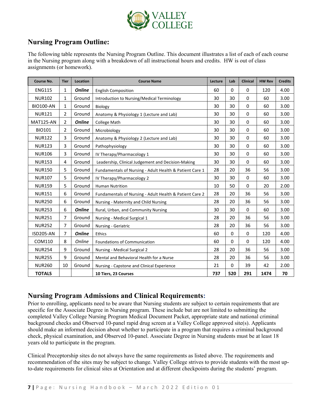

# **Nursing Program Outline:**

The following table represents the Nursing Program Outline. This document illustrates a list of each of each course in the Nursing program along with a breakdown of all instructional hours and credits. HW is out of class assignments (or homework).

| Course No.       | <b>Tier</b>    | Location      | <b>Course Name</b>                                      |     | Lab         | <b>Clinical</b> | <b>HW Rev</b> | <b>Credits</b> |
|------------------|----------------|---------------|---------------------------------------------------------|-----|-------------|-----------------|---------------|----------------|
| <b>ENG115</b>    | 1              | <b>Online</b> | <b>English Composition</b>                              | 60  | $\Omega$    | 0               | 120           | 4.00           |
| <b>NUR102</b>    | 1              | Ground        | Introduction to Nursing/Medical Terminology             | 30  | 30          | $\Omega$        | 60            | 3.00           |
| <b>BIO100-AN</b> | 1              | Ground        | Biology                                                 | 30  | 30          | 0               | 60            | 3.00           |
| <b>NUR121</b>    | $\overline{2}$ | Ground        | Anatomy & Physiology 1 (Lecture and Lab)                | 30  | 30          | $\Omega$        | 60            | 3.00           |
| <b>MAT125-AN</b> | $\overline{2}$ | <b>Online</b> | <b>College Math</b>                                     | 30  | 30          | $\Omega$        | 60            | 3.00           |
| <b>BIO101</b>    | $\overline{2}$ | Ground        | Microbiology                                            | 30  | 30          | 0               | 60            | 3.00           |
| <b>NUR122</b>    | 3              | Ground        | Anatomy & Physiology 2 (Lecture and Lab)                | 30  | 30          | 0               | 60            | 3.00           |
| <b>NUR123</b>    | 3              | Ground        | Pathophysiology                                         | 30  | 30          | 0               | 60            | 3.00           |
| <b>NUR106</b>    | 3              | Ground        | IV Therapy/Pharmacology 1                               | 30  | 30          | 0               | 60            | 3.00           |
| <b>NUR153</b>    | 4              | Ground        | Leadership, Clinical Judgement and Decision-Making      | 30  | 30          | $\Omega$        | 60            | 3.00           |
| <b>NUR150</b>    | 5              | Ground        | Fundamentals of Nursing - Adult Health & Patient Care 1 | 28  | 20          | 36              | 56            | 3.00           |
| <b>NUR107</b>    | 5              | Ground        | IV Therapy/Pharmacology 2                               | 30  | 30          | 0               | 60            | 3.00           |
| <b>NUR159</b>    | 5              | Ground        | <b>Human Nutrition</b>                                  | 10  | 50          | 0               | 20            | 2.00           |
| <b>NUR151</b>    | 6              | Ground        | Fundamentals of Nursing - Adult Health & Patient Care 2 | 28  | 20          | 36              | 56            | 3.00           |
| <b>NUR250</b>    | 6              | Ground        | Nursing - Maternity and Child Nursing                   | 28  | 20          | 36              | 56            | 3.00           |
| <b>NUR253</b>    | 6              | <b>Online</b> | Rural, Urban, and Community Nursing                     | 30  | 30          | $\Omega$        | 60            | 3.00           |
| <b>NUR251</b>    | 7              | Ground        | Nursing - Medical Surgical 1                            | 28  | 20          | 36              | 56            | 3.00           |
| <b>NUR252</b>    | 7              | Ground        | <b>Nursing - Geriatric</b>                              | 28  | 20          | 36              | 56            | 3.00           |
| <b>ISD205-AN</b> | $\overline{7}$ | <b>Online</b> | Ethics                                                  | 60  | $\mathbf 0$ | 0               | 120           | 4.00           |
| COM110           | 8              | Online        | Foundations of Communication                            | 60  | $\mathbf 0$ | 0               | 120           | 4.00           |
| <b>NUR254</b>    | 9              | Ground        | Nursing - Medical Surgical 2                            | 28  | 20          | 36              | 56            | 3.00           |
| <b>NUR255</b>    | 9              | Ground        | Mental and Behavioral Health for a Nurse                | 28  | 20          | 36              | 56            | 3.00           |
| <b>NUR260</b>    | 10             | Ground        | Nursing - Capstone and Clinical Experience              | 21  | $\Omega$    | 39              | 42            | 2.00           |
| <b>TOTALS</b>    |                |               | 10 Tiers, 23 Courses                                    | 737 | 520         | 291             | 1474          | 70             |

# <span id="page-7-0"></span>**Nursing Program Admissions and Clinical Requirements:**

Prior to enrolling, applicants need to be aware that Nursing students are subject to certain requirements that are specific for the Associate Degree in Nursing program. These include but are not limited to submitting the completed Valley College Nursing Program Medical Document Packet, appropriate state and national criminal background checks and Observed 10-panel rapid drug screen at a Valley College approved site(s). Applicants should make an informed decision about whether to participate in a program that requires a criminal background check, physical examination, and Observed 10-panel. Associate Degree in Nursing students must be at least 18 years old to participate in the program.

Clinical Preceptorship sites do not always have the same requirements as listed above. The requirements and recommendation of the sites may be subject to change. Valley College strives to provide students with the most upto-date requirements for clinical sites at Orientation and at different checkpoints during the students' program.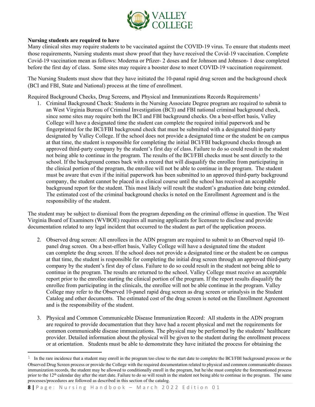

#### **Nursing students are required to have**

Many clinical sites may require students to be vaccinated against the COVID-19 virus. To ensure that students meet those requirements, Nursing students must show proof that they have received the Covid-19 vaccination. Complete Covid-19 vaccination mean as follows: Moderna or Pfizer- 2 doses and for Johnson and Johnson- 1 dose completed before the first day of class. Some sites may require a booster dose to meet COVID-19 vaccination requirement.

The Nursing Students must show that they have initiated the 10-panal rapid drug screen and the background check (BCI and FBI, State and National) process at the time of enrollment.

Required Background Checks, Drug Screens, and Physical and Immunizations Records Requirements<sup>[1](#page-8-0)</sup>

1. Criminal Background Check: Students in the Nursing Associate Degree program are required to submit to an West Virginia Bureau of Criminal Investigation (BCI) and FBI national criminal background check, since some sites may require both the BCI and FBI background checks. On a best-effort basis, Valley College will have a designated time the student can complete the required initial paperwork and be fingerprinted for the BCI/FBI background check that must be submitted with a designated third-party designated by Valley College. If the school does not provide a designated time or the student be on campus at that time, the student is responsible for completing the initial BCI/FBI background checks through an approved third-party company by the student's first day of class. Failure to do so could result in the student not being able to continue in the program. The results of the BCI/FBI checks must be sent directly to the school. If the background comes back with a record that will disqualify the enrollee from participating in the clinical portion of the program, the enrollee will not be able to continue in the program. The student must be aware that even if the initial paperwork has been submitted to an approved third-party background company, the student cannot be placed in a clinical course until the school has received an acceptable background report for the student. This most likely will result the student's graduation date being extended. The estimated cost of the criminal background checks is noted on the Enrollment Agreement and is the responsibility of the student.

The student may be subject to dismissal from the program depending on the criminal offense in question. The West Virginia Board of Examiners (WVBOE) requires all nursing applicants for licensure to disclose and provide documentation related to any legal incident that occurred to the student as part of the application process.

- 2. Observed drug screen: All enrollees in the ADN program are required to submit to an Observed rapid 10 panel drug screen. On a best-effort basis, Valley College will have a designated time the student can complete the drug screen. If the school does not provide a designated time or the student be on campus at that time, the student is responsible for completing the initial drug screen through an approved third-party company by the student's first day of class. Failure to do so could result in the student not being able to continue in the program. The results are returned to the school. Valley College must receive an acceptable report prior to the enrollee starting the clinical portion of the program. If the report results disqualify the enrollee from participating in the clinicals, the enrollee will not be able continue in the program. Valley College may refer to the Observed 10-panel rapid drug screen as drug screen or urinalysis in the Student Catalog and other documents. The estimated cost of the drug screen is noted on the Enrollment Agreement and is the responsibility of the student.
- 3. Physical and Common Communicable Disease Immunization Record: All students in the ADN program are required to provide documentation that they have had a recent physical and met the requirements for common communicable disease immunizations. The physical may be performed by the students' healthcare provider. Detailed information about the physical will be given to the student during the enrollment process or at orientation. Students must be able to demonstrate they have initiated the process for obtaining the

<span id="page-8-0"></span> $1$  In the rare incidence that a student may enroll in the program too close to the start date to complete the BCI/FBI background process or the Observed Drug Screen process or provide the College with the required documentation related to physical and common communicable diseases immunization records, the student may be allowed to conditionally enroll in the program, but he/she must complete the forementioned process prior to the 12<sup>th</sup> calendar day after the start date. Failure to do so will result in the student not being able to continue in the program. The same processes/procedures are followed as described in this section of the catalog.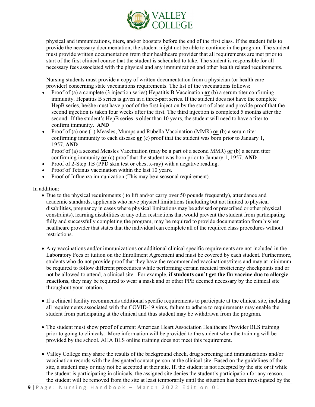

physical and immunizations, titers, and/or boosters before the end of the first class. If the student fails to provide the necessary documentation, the student might not be able to continue in the program. The student must provide written documentation from their healthcare provider that all requirements are met prior to start of the first clinical course that the student is scheduled to take. The student is responsible for all necessary fees associated with the physical and any immunization and other health related requirements.

Nursing students must provide a copy of written documentation from a physician (or health care provider) concerning state vaccinations requirements. The list of the vaccinations follows:

- Proof of (a) a complete (3 injection series) Hepatitis B Vaccination **or** (b) a serum titer confirming immunity. Hepatitis B series is given in a three-part series. If the student does not have the complete HepB series, he/she must have proof of the first injection by the start of class and provide proof that the second injection is taken four weeks after the first. The third injection is completed 5 months after the second. If the student's HepB series is older than 10 years, the student will need to have a titer to confirm immunity. **AND**
- Proof of (a) one (1) Measles, Mumps and Rubella Vaccination (MMR) **or** (b) a serum titer confirming immunity to each disease **or** (c) proof that the student was born prior to January 1, 1957. **AND**

Proof of (a) a second Measles Vaccination (may be a part of a second MMR) **or** (b) a serum titer confirming immunity **or** (c) proof that the student was born prior to January 1, 1957. **AND**

- Proof of 2-Step TB (PPD skin test or chest x-ray) with a negative reading.
- Proof of Tetanus vaccination within the last 10 years.
- Proof of Influenza immunization (This may be a seasonal requirement).

#### In addition:

- Due to the physical requirements ( to lift and/or carry over 50 pounds frequently), attendance and academic standards, applicants who have physical limitations (including but not limited to physical disabilities, pregnancy in cases where physical limitations may be advised or prescribed or other physical constraints), learning disabilities or any other restrictions that would prevent the student from participating fully and successfully completing the program, may be required to provide documentation from his/her healthcare provider that states that the individual can complete all of the required class procedures without restrictions.
- Any vaccinations and/or immunizations or additional clinical specific requirements are not included in the Laboratory Fees or tuition on the Enrollment Agreement and must be covered by each student. Furthermore, students who do not provide proof that they have the recommended vaccinations/titers and may at minimum be required to follow different procedures while performing certain medical proficiency checkpoints and or not be allowed to attend, a clinical site. For example, **if students can't get the flu vaccine due to allergic reactions**, they may be required to wear a mask and or other PPE deemed necessary by the clinical site throughout your rotation.
- If a clinical facility recommends additional specific requirements to participate at the clinical site, including all requirements associated with the COVID-19 virus, failure to adhere to requirements may enable the student from participating at the clinical and thus student may be withdrawn from the program.
- The student must show proof of current American Heart Association Healthcare Provider BLS training prior to going to clinicals. More information will be provided to the student when the training will be provided by the school. AHA BLS online training does not meet this requirement.
- Valley College may share the results of the background check, drug screening and immunizations and/or vaccination records with the designated contact person at the clinical site. Based on the guidelines of the site, a student may or may not be accepted at their site. If, the student is not accepted by the site or if while the student is participating in clinicals, the assigned site denies the student's participation for any reason, the student will be removed from the site at least temporarily until the situation has been investigated by the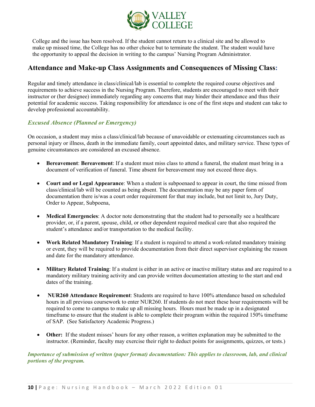

College and the issue has been resolved. If the student cannot return to a clinical site and be allowed to make up missed time, the College has no other choice but to terminate the student. The student would have the opportunity to appeal the decision in writing to the campus' Nursing Program Administrator.

# <span id="page-10-0"></span>**Attendance and Make-up Class Assignments and Consequences of Missing Class:**

Regular and timely attendance in class/clinical/lab is essential to complete the required course objectives and requirements to achieve success in the Nursing Program. Therefore, students are encouraged to meet with their instructor or (her designee) immediately regarding any concerns that may hinder their attendance and thus their potential for academic success. Taking responsibility for attendance is one of the first steps and student can take to develop professional accountability.

#### *Excused Absence (Planned or Emergency)*

On occasion, a student may miss a class/clinical/lab because of unavoidable or extenuating circumstances such as personal injury or illness, death in the immediate family, court appointed dates, and military service. These types of genuine circumstances are considered an excused absence.

- **Bereavement**: **Bereavement**: If a student must miss class to attend a funeral, the student must bring in a document of verification of funeral. Time absent for bereavement may not exceed three days.
- **Court and or Legal Appearance**: When a student is subpoenaed to appear in court, the time missed from class/clinical/lab will be counted as being absent. The documentation may be any paper form of documentation there is/was a court order requirement for that may include, but not limit to, Jury Duty, Order to Appear, Subpoena,
- **Medical Emergencies**: A doctor note demonstrating that the student had to personally see a healthcare provider, or, if a parent, spouse, child, or other dependent required medical care that also required the student's attendance and/or transportation to the medical facility.
- **Work Related Mandatory Training**: If a student is required to attend a work-related mandatory training or event, they will be required to provide documentation from their direct supervisor explaining the reason and date for the mandatory attendance.
- **Military Related Training**: If a student is either in an active or inactive military status and are required to a mandatory military training activity and can provide written documentation attesting to the start and end dates of the training.
- **NUR260 Attendance Requirement**: Students are required to have 100% attendance based on scheduled hours in all previous coursework to enter NUR260. If students do not meet these hour requirements will be required to come to campus to make up all missing hours. Hours must be made up in a designated timeframe to ensure that the student is able to complete their program within the required 150% timeframe of SAP. (See Satisfactory Academic Progress.)
- Other: If the student misses' hours for any other reason, a written explanation may be submitted to the instructor. (Reminder, faculty may exercise their right to deduct points for assignments, quizzes, or tests.)

*Importance of submission of written (paper format) documentation: This applies to classroom, lab, and clinical portions of the program.*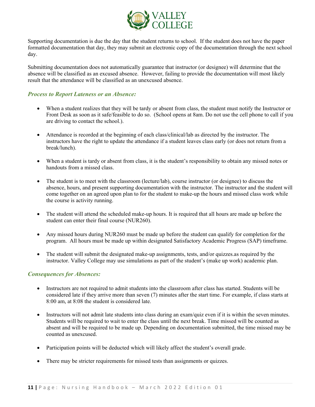

Supporting documentation is due the day that the student returns to school. If the student does not have the paper formatted documentation that day, they may submit an electronic copy of the documentation through the next school day.

Submitting documentation does not automatically guarantee that instructor (or designee) will determine that the absence will be classified as an excused absence. However, failing to provide the documentation will most likely result that the attendance will be classified as an unexcused absence.

#### *Process to Report Lateness or an Absence:*

- When a student realizes that they will be tardy or absent from class, the student must notify the Instructor or Front Desk as soon as it safe/feasible to do so. (School opens at 8am. Do not use the cell phone to call if you are driving to contact the school.).
- Attendance is recorded at the beginning of each class/clinical/lab as directed by the instructor. The instructors have the right to update the attendance if a student leaves class early (or does not return from a break/lunch).
- When a student is tardy or absent from class, it is the student's responsibility to obtain any missed notes or handouts from a missed class.
- The student is to meet with the classroom (lecture/lab), course instructor (or designee) to discuss the absence, hours, and present supporting documentation with the instructor. The instructor and the student will come together on an agreed upon plan to for the student to make-up the hours and missed class work while the course is activity running.
- The student will attend the scheduled make-up hours. It is required that all hours are made up before the student can enter their final course (NUR260).
- Any missed hours during NUR260 must be made up before the student can qualify for completion for the program. All hours must be made up within designated Satisfactory Academic Progress (SAP) timeframe.
- The student will submit the designated make-up assignments, tests, and/or quizzes.as required by the instructor. Valley College may use simulations as part of the student's (make up work) academic plan.

#### *Consequences for Absences:*

- Instructors are not required to admit students into the classroom after class has started. Students will be considered late if they arrive more than seven (7) minutes after the start time. For example, if class starts at 8:00 am, at 8:08 the student is considered late.
- Instructors will not admit late students into class during an exam/quiz even if it is within the seven minutes. Students will be required to wait to enter the class until the next break. Time missed will be counted as absent and will be required to be made up. Depending on documentation submitted, the time missed may be counted as unexcused.
- Participation points will be deducted which will likely affect the student's overall grade.
- There may be stricter requirements for missed tests than assignments or quizzes.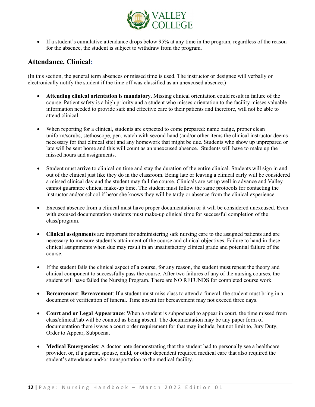

• If a student's cumulative attendance drops below 95% at any time in the program, regardless of the reason for the absence, the student is subject to withdraw from the program.

# <span id="page-12-0"></span>**Attendance, Clinical:**

(In this section, the general term absences or missed time is used. The instructor or designee will verbally or electronically notify the student if the time off was classified as an unexcused absence.)

- **Attending clinical orientation is mandatory**. Missing clinical orientation could result in failure of the course. Patient safety is a high priority and a student who misses orientation to the facility misses valuable information needed to provide safe and effective care to their patients and therefore, will not be able to attend clinical.
- When reporting for a clinical, students are expected to come prepared: name badge, proper clean uniform/scrubs, stethoscope, pen, watch with second hand (and/or other items the clinical instructor deems necessary for that clinical site) and any homework that might be due. Students who show up unprepared or late will be sent home and this will count as an unexcused absence. Students will have to make up the missed hours and assignments.
- Student must arrive to clinical on time and stay the duration of the entire clinical. Students will sign in and out of the clinical just like they do in the classroom. Being late or leaving a clinical early will be considered a missed clinical day and the student may fail the course. Clinicals are set up well in advance and Valley cannot guarantee clinical make-up time. The student must follow the same protocols for contacting the instructor and/or school if he/or she knows they will be tardy or absence from the clinical experience.
- Excused absence from a clinical must have proper documentation or it will be considered unexcused. Even with excused documentation students must make-up clinical time for successful completion of the class/program.
- **Clinical assignments** are important for administering safe nursing care to the assigned patients and are necessary to measure student's attainment of the course and clinical objectives. Failure to hand in these clinical assignments when due may result in an unsatisfactory clinical grade and potential failure of the course.
- If the student fails the clinical aspect of a course, for any reason, the student must repeat the theory and clinical component to successfully pass the course. After two failures of any of the nursing courses, the student will have failed the Nursing Program. There are NO REFUNDS for completed course work.
- **Bereavement**: **Bereavement**: If a student must miss class to attend a funeral, the student must bring in a document of verification of funeral. Time absent for bereavement may not exceed three days.
- **Court and or Legal Appearance**: When a student is subpoenaed to appear in court, the time missed from class/clinical/lab will be counted as being absent. The documentation may be any paper form of documentation there is/was a court order requirement for that may include, but not limit to, Jury Duty, Order to Appear, Subpoena,
- **Medical Emergencies:** A doctor note demonstrating that the student had to personally see a healthcare provider, or, if a parent, spouse, child, or other dependent required medical care that also required the student's attendance and/or transportation to the medical facility.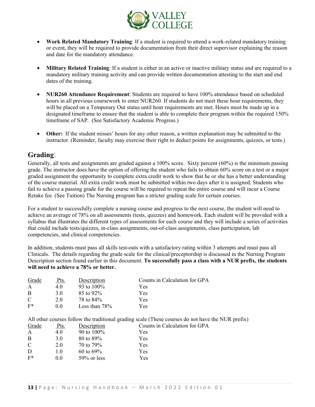

- **Work Related Mandatory Training**: If a student is required to attend a work-related mandatory training or event, they will be required to provide documentation from their direct supervisor explaining the reason and date for the mandatory attendance.
- **Military Related Training**: If a student is either in an active or inactive military status and are required to a mandatory military training activity and can provide written documentation attesting to the start and end dates of the training.
- **NUR260 Attendance Requirement**: Students are required to have 100% attendance based on scheduled hours in all previous coursework to enter NUR260. If students do not meet these hour requirements, they will be placed on a Temporary Out status until hour requirements are met. Hours must be made up in a designated timeframe to ensure that the student is able to complete their program within the required 150% timeframe of SAP. (See Satisfactory Academic Progress.)
- Other: If the student misses' hours for any other reason, a written explanation may be submitted to the instructor. (Reminder, faculty may exercise their right to deduct points for assignments, quizzes, or tests.)

# <span id="page-13-0"></span>**Grading**:

Generally, all tests and assignments are graded against a 100% score. Sixty percent (60%) is the minimum passing grade. The instructor does have the option of offering the student who fails to obtain 60% score on a test or a major graded assignment the opportunity to complete extra credit work to show that he or she has a better understanding of the course material. All extra credit work must be submitted within two days after it is assigned. Students who fail to achieve a passing grade for the course will be required to repeat the entire course and will incur a Course Retake fee. (See Tuition) The Nursing program has a stricter grading scale for certain courses.

For a student to successfully complete a nursing course and progress to the next course, the student will need to achieve an average of 78% on all assessments (tests, quizzes) and homework. Each student will be provided with a syllabus that illustrates the different types of assessments for each course and they will include a series of activities that could include tests/quizzes, in-class assignments, out-of-class assignments, class participation, lab competencies, and clinical competencies.

In addition, students must pass all skills test-outs with a satisfactory rating within 3 attempts and must pass all Clinicals. The details regarding the grade scale for the clinical/preceptorship is discussed in the Nursing Program Description section found earlier in this document. **To successfully pass a class with a NUR prefix, the students will need to achieve a 78% or better.**

| Grade | Pts. | Description      | Counts in Calculation for GPA |
|-------|------|------------------|-------------------------------|
|       | 4.0  | 93 to $100\%$    | Yes                           |
| B     | 3.O  | 85 to 92%        | Yes                           |
| C     | 2.0  | 78 to 84%        | Yes                           |
| $F^*$ | 0.0  | Less than $78\%$ | Yes                           |

All other courses follow the traditional grading scale (These courses do not have the NUR prefix) ts in Calculation for GPA

| Grade | Pts. | Description    | Coun       |
|-------|------|----------------|------------|
| A     | 4.0  | 90 to 100%     | <b>Yes</b> |
| B     | 3.0  | 80 to 89%      | Yes        |
| C     | 2.0  | 70 to 79%      | Yes        |
| D     | 1.0  | 60 to 69%      | Yes        |
| $F^*$ | 0.0  | $59\%$ or less | Yes        |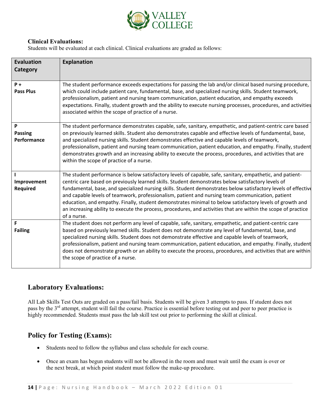

#### **Clinical Evaluations:**

Students will be evaluated at each clinical. Clinical evaluations are graded as follows:

| <b>Evaluation</b><br>Category      | <b>Explanation</b>                                                                                                                                                                                                                                                                                                                                                                                                                                                                                                                                                                                                                                                                 |
|------------------------------------|------------------------------------------------------------------------------------------------------------------------------------------------------------------------------------------------------------------------------------------------------------------------------------------------------------------------------------------------------------------------------------------------------------------------------------------------------------------------------------------------------------------------------------------------------------------------------------------------------------------------------------------------------------------------------------|
| $P +$<br><b>Pass Plus</b>          | The student performance exceeds expectations for passing the lab and/or clinical based nursing procedure,<br>which could include patient care, fundamental, base, and specialized nursing skills. Student teamwork,<br>professionalism, patient and nursing team communication, patient education, and empathy exceeds<br>expectations. Finally, student growth and the ability to execute nursing processes, procedures, and activities<br>associated within the scope of practice of a nurse.                                                                                                                                                                                    |
| P<br><b>Passing</b><br>Performance | The student performance demonstrates capable, safe, sanitary, empathetic, and patient-centric care based<br>on previously learned skills. Student also demonstrates capable and effective levels of fundamental, base,<br>and specialized nursing skills. Student demonstrates effective and capable levels of teamwork,<br>professionalism, patient and nursing team communication, patient education, and empathy. Finally, student<br>demonstrates growth and an increasing ability to execute the process, procedures, and activities that are<br>within the scope of practice of a nurse.                                                                                     |
| Improvement<br><b>Required</b>     | The student performance is below satisfactory levels of capable, safe, sanitary, empathetic, and patient-<br>centric care based on previously learned skills. Student demonstrates below satisfactory levels of<br>fundamental, base, and specialized nursing skills. Student demonstrates below satisfactory levels of effective<br>and capable levels of teamwork, professionalism, patient and nursing team communication, patient<br>education, and empathy. Finally, student demonstrates minimal to below satisfactory levels of growth and<br>an increasing ability to execute the process, procedures, and activities that are within the scope of practice<br>of a nurse. |
| F<br><b>Failing</b>                | The student does not perform any level of capable, safe, sanitary, empathetic, and patient-centric care<br>based on previously learned skills. Student does not demonstrate any level of fundamental, base, and<br>specialized nursing skills. Student does not demonstrate effective and capable levels of teamwork,<br>professionalism, patient and nursing team communication, patient education, and empathy. Finally, student<br>does not demonstrate growth or an ability to execute the process, procedures, and activities that are within<br>the scope of practice of a nurse.                                                                                            |

# **Laboratory Evaluations:**

All Lab Skills Test Outs are graded on a pass/fail basis. Students will be given 3 attempts to pass. If student does not pass by the 3<sup>rd</sup> attempt, student will fail the course. Practice is essential before testing out and peer to peer practice is highly recommended. Students must pass the lab skill test out prior to performing the skill at clinical.

# **Policy for Testing (Exams):**

- Students need to follow the syllabus and class schedule for each course.
- Once an exam has begun students will not be allowed in the room and must wait until the exam is over or the next break, at which point student must follow the make-up procedure.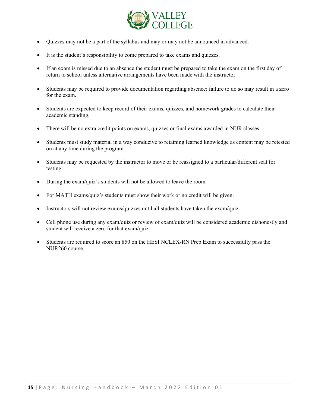

- Quizzes may not be a part of the syllabus and may or may not be announced in advanced.
- It is the student's responsibility to come prepared to take exams and quizzes.
- If an exam is missed due to an absence the student must be prepared to take the exam on the first day of return to school unless alternative arrangements have been made with the instructor.
- Students may be required to provide documentation regarding absence: failure to do so may result in a zero for the exam.
- Students are expected to keep record of their exams, quizzes, and homework grades to calculate their academic standing.
- There will be no extra credit points on exams, quizzes or final exams awarded in NUR classes.
- Students must study material in a way conducive to retaining learned knowledge as content may be retested on at any time during the program.
- Students may be requested by the instructor to move or be reassigned to a particular/different seat for testing.
- During the exam/quiz's students will not be allowed to leave the room.
- For MATH exams/quiz's students must show their work or no credit will be given.
- Instructors will not review exams/quizzes until all students have taken the exam/quiz.
- Cell phone use during any exam/quiz or review of exam/quiz will be considered academic dishonestly and student will receive a zero for that exam/quiz.
- Students are required to score an 850 on the HESI NCLEX-RN Prep Exam to successfully pass the NUR260 course.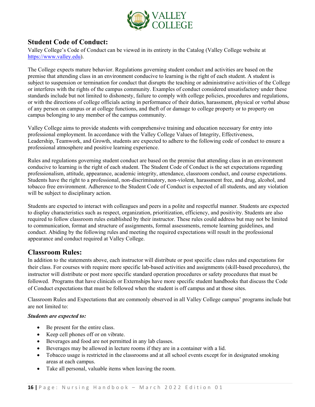

# <span id="page-16-0"></span>**Student Code of Conduct:**

Valley College's Code of Conduct can be viewed in its entirety in the Catalog (Valley College website at [https://www.valley.edu\)](https://www.valley.edu/).

The College expects mature behavior. Regulations governing student conduct and activities are based on the premise that attending class in an environment conducive to learning is the right of each student. A student is subject to suspension or termination for conduct that disrupts the teaching or administrative activities of the College or interferes with the rights of the campus community. Examples of conduct considered unsatisfactory under these standards include but not limited to dishonesty, failure to comply with college policies, procedures and regulations, or with the directions of college officials acting in performance of their duties, harassment, physical or verbal abuse of any person on campus or at college functions, and theft of or damage to college property or to property on campus belonging to any member of the campus community.

Valley College aims to provide students with comprehensive training and education necessary for entry into professional employment. In accordance with the Valley College Values of Integrity, Effectiveness, Leadership, Teamwork, and Growth, students are expected to adhere to the following code of conduct to ensure a professional atmosphere and positive learning experience.

Rules and regulations governing student conduct are based on the premise that attending class in an environment conducive to learning is the right of each student. The Student Code of Conduct is the set expectations regarding professionalism, attitude, appearance, academic integrity, attendance, classroom conduct, and course expectations. Students have the right to a professional, non-discriminatory, non-violent, harassment free, and drug, alcohol, and tobacco free environment. Adherence to the Student Code of Conduct is expected of all students, and any violation will be subject to disciplinary action.

Students are expected to interact with colleagues and peers in a polite and respectful manner. Students are expected to display characteristics such as respect, organization, prioritization, efficiency, and positivity. Students are also required to follow classroom rules established by their instructor. These rules could address but may not be limited to communication, format and structure of assignments, formal assessments, remote learning guidelines, and conduct. Abiding by the following rules and meeting the required expectations will result in the professional appearance and conduct required at Valley College.

# <span id="page-16-1"></span>**Classroom Rules:**

In addition to the statements above, each instructor will distribute or post specific class rules and expectations for their class. For courses with require more specific lab-based activities and assignments (skill-based procedures), the instructor will distribute or post more specific standard operation procedures or safety procedures that must be followed. Programs that have clinicals or Externships have more specific student handbooks that discuss the Code of Conduct expectations that must be followed when the student is off campus and at those sites.

Classroom Rules and Expectations that are commonly observed in all Valley College campus' programs include but are not limited to:

#### *Students are expected to:*

- Be present for the entire class.
- Keep cell phones off or on vibrate.
- Beverages and food are not permitted in any lab classes.
- Beverages may be allowed in lecture rooms if they are in a container with a lid.
- Tobacco usage is restricted in the classrooms and at all school events except for in designated smoking areas at each campus.
- Take all personal, valuable items when leaving the room.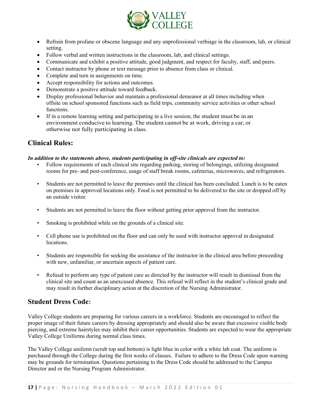

- Refrain from profane or obscene language and any unprofessional verbiage in the classroom, lab, or clinical setting.
- Follow verbal and written instructions in the classroom, lab, and clinical settings.
- Communicate and exhibit a positive attitude, good judgment, and respect for faculty, staff, and peers.
- Contact instructor by phone or text message prior to absence from class or clinical.
- Complete and turn in assignments on time.
- Accept responsibility for actions and outcomes.
- Demonstrate a positive attitude toward feedback.
- Display professional behavior and maintain a professional demeanor at all times including when offsite on school sponsored functions such as field trips, community service activities or other school functions.
- If in a remote learning setting and participating in a live session, the student must be in an environment conducive to learning. The student cannot be at work, driving a car, or otherwise not fully participating in class.

# <span id="page-17-0"></span>**Clinical Rules:**

#### *In addition to the statements above, students participating in off-site clinicals are expected to:*

- Follow requirements of each clinical site regarding parking, storing of belongings, utilizing designated rooms for pre- and post-conference, usage of staff break rooms, cafeterias, microwaves, and refrigerators.
- Students are not permitted to leave the premises until the clinical has been concluded. Lunch is to be eaten on premises in approved locations only. Food is not permitted to be delivered to the site or dropped off by an outside visitor.
- Students are not permitted to leave the floor without getting prior approval from the instructor.
- Smoking is prohibited while on the grounds of a clinical site.
- Cell phone use is prohibited on the floor and can only be used with instructor approval in designated locations.
- Students are responsible for seeking the assistance of the instructor in the clinical area before proceeding with new, unfamiliar, or uncertain aspects of patient care.
- Refusal to perform any type of patient care as directed by the instructor will result in dismissal from the clinical site and count as an unexcused absence. This refusal will reflect in the student's clinical grade and may result in further disciplinary action at the discretion of the Nursing Administrator.

# <span id="page-17-1"></span>**Student Dress Code:**

Valley College students are preparing for various careers in a workforce. Students are encouraged to reflect the proper image of their future careers by dressing appropriately and should also be aware that excessive visible body piercing, and extreme hairstyles may inhibit their career opportunities. Students are expected to wear the appropriate Valley College Uniforms during normal class times.

The Valley College uniform (scrub top and bottom) is light blue in color with a white lab coat. The uniform is purchased through the College during the first weeks of classes. Failure to adhere to the Dress Code upon warning may be grounds for termination. Questions pertaining to the Dress Code should be addressed to the Campus Director and or the Nursing Program Administrator.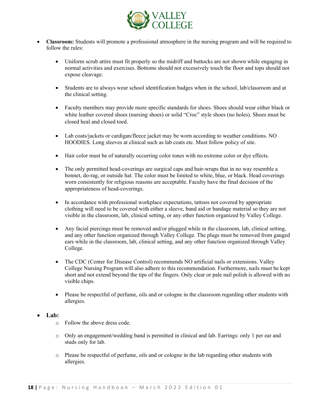

- **Classroom:** Students will promote a professional atmosphere in the nursing program and will be required to follow the rules:
	- Uniform scrub attire must fit properly so the midriff and buttocks are not shown while engaging in normal activities and exercises. Bottoms should not excessively touch the floor and tops should not expose cleavage.
	- Students are to always wear school identification badges when in the school, lab/classroom and at the clinical setting.
	- Faculty members may provide more specific standards for shoes. Shoes should wear either black or white leather covered shoes (nursing shoes) or solid "Croc" style shoes (no holes). Shoes must be closed heal and closed toed.
	- Lab coats/jackets or cardigan/fleece jacket may be worn according to weather conditions. NO HOODIES. Long sleeves at clinical such as lab coats etc. Must follow policy of site.
	- Hair color must be of naturally occurring color tones with no extreme color or dye effects.
	- The only permitted head-coverings are surgical caps and hair-wraps that in no way resemble a bonnet, do-rag, or outside hat. The color must be limited to white, blue, or black. Head coverings worn consistently for religious reasons are acceptable. Faculty have the final decision of the appropriateness of head-coverings.
	- In accordance with professional workplace expectations, tattoos not covered by appropriate clothing will need to be covered with either a sleeve, band aid or bandage material so they are not visible in the classroom, lab, clinical setting, or any other function organized by Valley College.
	- Any facial piercings must be removed and/or plugged while in the classroom, lab, clinical setting, and any other function organized through Valley College. The plugs must be removed from gauged ears while in the classroom, lab, clinical setting, and any other function organized through Valley College.
	- The CDC (Center for Disease Control) recommends NO artificial nails or extensions. Valley College Nursing Program will also adhere to this recommendation. Furthermore, nails must be kept short and not extend beyond the tips of the fingers. Only clear or pale nail polish is allowed with no visible chips.
	- Please be respectful of perfume, oils and or cologne in the classroom regarding other students with allergies.

#### • **Lab:**

- o Follow the above dress code.
- o Only an engagement/wedding band is permitted in clinical and lab. Earrings: only 1 per ear and studs only for lab.
- o Please be respectful of perfume, oils and or cologne in the lab regarding other students with allergies.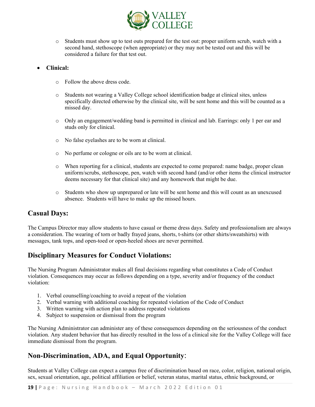

o Students must show up to test outs prepared for the test out: proper uniform scrub, watch with a second hand, stethoscope (when appropriate) or they may not be tested out and this will be considered a failure for that test out.

#### • **Clinical:**

- o Follow the above dress code.
- o Students not wearing a Valley College school identification badge at clinical sites, unless specifically directed otherwise by the clinical site, will be sent home and this will be counted as a missed day.
- o Only an engagement/wedding band is permitted in clinical and lab. Earrings: only 1 per ear and studs only for clinical.
- o No false eyelashes are to be worn at clinical.
- o No perfume or cologne or oils are to be worn at clinical.
- o When reporting for a clinical, students are expected to come prepared: name badge, proper clean uniform/scrubs, stethoscope, pen, watch with second hand (and/or other items the clinical instructor deems necessary for that clinical site) and any homework that might be due.
- o Students who show up unprepared or late will be sent home and this will count as an unexcused absence. Students will have to make up the missed hours.

#### **Casual Days:**

The Campus Director may allow students to have casual or theme dress days. Safety and professionalism are always a consideration. The wearing of torn or badly frayed jeans, shorts, t-shirts (or other shirts/sweatshirts) with messages, tank tops, and open-toed or open-heeled shoes are never permitted.

# <span id="page-19-0"></span>**Disciplinary Measures for Conduct Violations:**

The Nursing Program Administrator makes all final decisions regarding what constitutes a Code of Conduct violation. Consequences may occur as follows depending on a type, severity and/or frequency of the conduct violation:

- 1. Verbal counselling/coaching to avoid a repeat of the violation
- 2. Verbal warning with additional coaching for repeated violation of the Code of Conduct
- 3. Written warning with action plan to address repeated violations
- 4. Subject to suspension or dismissal from the program

The Nursing Administrator can administer any of these consequences depending on the seriousness of the conduct violation. Any student behavior that has directly resulted in the loss of a clinical site for the Valley College will face immediate dismissal from the program.

# <span id="page-19-1"></span>**Non-Discrimination, ADA, and Equal Opportunity**:

Students at Valley College can expect a campus free of discrimination based on race, color, religion, national origin, sex, sexual orientation, age, political affiliation or belief, veteran status, marital status, ethnic background, or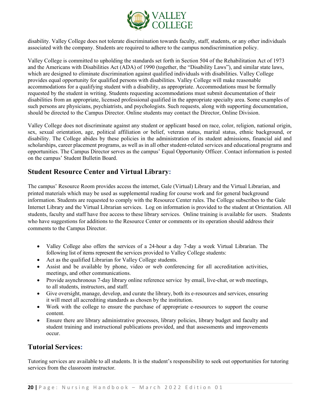

disability. Valley College does not tolerate discrimination towards faculty, staff, students, or any other individuals associated with the company. Students are required to adhere to the campus nondiscrimination policy.

Valley College is committed to upholding the standards set forth in Section 504 of the Rehabilitation Act of 1973 and the Americans with Disabilities Act (ADA) of 1990 (together, the "Disability Laws"), and similar state laws, which are designed to eliminate discrimination against qualified individuals with disabilities. Valley College provides equal opportunity for qualified persons with disabilities. Valley College will make reasonable accommodations for a qualifying student with a disability, as appropriate. Accommodations must be formally requested by the student in writing. Students requesting accommodations must submit documentation of their disabilities from an appropriate, licensed professional qualified in the appropriate specialty area. Some examples of such persons are physicians, psychiatrists, and psychologists. Such requests, along with supporting documentation, should be directed to the Campus Director. Online students may contact the Director, Online Division.

Valley College does not discriminate against any student or applicant based on race, color, religion, national origin, sex, sexual orientation, age, political affiliation or belief, veteran status, marital status, ethnic background, or disability. The College abides by these policies in the administration of its student admissions, financial aid and scholarships, career placement programs, as well as in all other student-related services and educational programs and opportunities. The Campus Director serves as the campus' Equal Opportunity Officer. Contact information is posted on the campus' Student Bulletin Board.

# <span id="page-20-0"></span>**Student Resource Center and Virtual Library:**

The campus' Resource Room provides access the internet, Gale (Virtual) Library and the Virtual Librarian, and printed materials which may be used as supplemental reading for course work and for general background information. Students are requested to comply with the Resource Center rules. The College subscribes to the Gale Internet Library and the Virtual Librarian services. Log on information is provided to the student at Orientation. All students, faculty and staff have free access to these library services. Online training is available for users. Students who have suggestions for additions to the Resource Center or comments or its operation should address their comments to the Campus Director.

- Valley College also offers the services of a 24-hour a day 7-day a week Virtual Librarian. The following list of items represent the services provided to Valley College students:
- Act as the qualified Librarian for Valley College students.
- Assist and be available by phone, video or web conferencing for all accreditation activities, meetings, and other communications.
- Provide asynchronous 7-day library online reference service by email, live-chat, or web meetings, to all students, instructors, and staff.
- Give oversight, manage, develop, and curate the library, both its e-resources and services, ensuring it will meet all accrediting standards as chosen by the institution.
- Work with the college to ensure the purchase of appropriate e-resources to support the course content.
- Ensure there are library administrative processes, library policies, library budget and faculty and student training and instructional publications provided, and that assessments and improvements occur.

# <span id="page-20-1"></span>**Tutorial Services:**

Tutoring services are available to all students. It is the student's responsibility to seek out opportunities for tutoring services from the classroom instructor.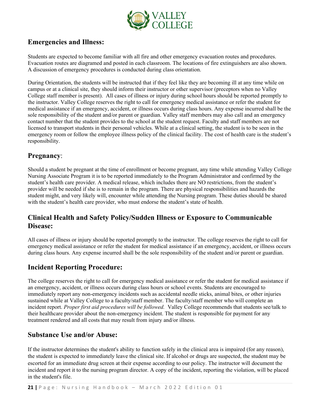

# <span id="page-21-0"></span>**Emergencies and Illness:**

Students are expected to become familiar with all fire and other emergency evacuation routes and procedures. Evacuation routes are diagramed and posted in each classroom. The locations of fire extinguishers are also shown. A discussion of emergency procedures is conducted during class orientation.

During Orientation, the students will be instructed that if they feel like they are becoming ill at any time while on campus or at a clinical site, they should inform their instructor or other supervisor (preceptors when no Valley College staff member is present). All cases of illness or injury during school hours should be reported promptly to the instructor. Valley College reserves the right to call for emergency medical assistance or refer the student for medical assistance if an emergency, accident, or illness occurs during class hours. Any expense incurred shall be the sole responsibility of the student and/or parent or guardian. Valley staff members may also call and an emergency contact number that the student provides to the school at the student request. Faculty and staff members are not licensed to transport students in their personal vehicles. While at a clinical setting, the student is to be seen in the emergency room or follow the employee illness policy of the clinical facility. The cost of health care is the student's responsibility.

# **Pregnancy**:

Should a student be pregnant at the time of enrollment or become pregnant, any time while attending Valley College Nursing Associate Program it is to be reported immediately to the Program Administrator and confirmed by the student's health care provider. A medical release, which includes there are NO restrictions, from the student's provider will be needed if she is to remain in the program. There are physical responsibilities and hazards the student might, and very likely will, encounter while attending the Nursing program. These duties should be shared with the student's health care provider, who must endorse the student's state of health.

# **Clinical Health and Safety Policy/Sudden Illness or Exposure to Communicable Disease:**

All cases of illness or injury should be reported promptly to the instructor. The college reserves the right to call for emergency medical assistance or refer the student for medical assistance if an emergency, accident, or illness occurs during class hours. Any expense incurred shall be the sole responsibility of the student and/or parent or guardian.

# **Incident Reporting Procedure:**

The college reserves the right to call for emergency medical assistance or refer the student for medical assistance if an emergency, accident, or illness occurs during class hours or school events. Students are encouraged to immediately report any non-emergency incidents such as accidental needle sticks, animal bites, or other injuries sustained while at Valley College to a faculty/staff member. The faculty/staff member who will complete an incident report. *Proper first aid procedures will be followed.* Valley College recommends that students see/talk to their healthcare provider about the non-emergency incident. The student is responsible for payment for any treatment rendered and all costs that may result from injury and/or illness.

# **Substance Use and/or Abuse:**

If the instructor determines the student's ability to function safely in the clinical area is impaired (for any reason), the student is expected to immediately leave the clinical site. If alcohol or drugs are suspected, the student may be escorted for an immediate drug screen at their expense according to our policy. The instructor will document the incident and report it to the nursing program director. A copy of the incident, reporting the violation, will be placed in the student's file.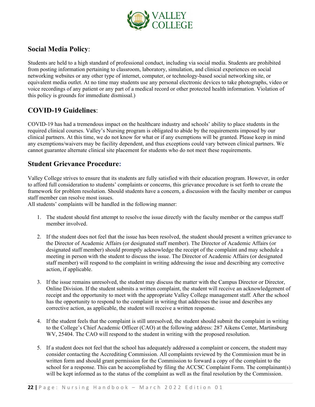

# **Social Media Policy**:

Students are held to a high standard of professional conduct, including via social media. Students are prohibited from posting information pertaining to classroom, laboratory, simulation, and clinical experiences on social networking websites or any other type of internet, computer, or technology-based social networking site, or equivalent media outlet. At no time may students use any personal electronic devices to take photographs, video or voice recordings of any patient or any part of a medical record or other protected health information. Violation of this policy is grounds for immediate dismissal.)

# **COVID-19 Guidelines**:

COVID-19 has had a tremendous impact on the healthcare industry and schools' ability to place students in the required clinical courses. Valley's Nursing program is obligated to abide by the requirements imposed by our clinical partners. At this time, we do not know for what or if any exemptions will be granted. Please keep in mind any exemptions/waivers may be facility dependent, and thus exceptions could vary between clinical partners. We cannot guarantee alternate clinical site placement for students who do not meet these requirements.

# <span id="page-22-0"></span>**Student Grievance Procedure:**

Valley College strives to ensure that its students are fully satisfied with their education program. However, in order to afford full consideration to students' complaints or concerns, this grievance procedure is set forth to create the framework for problem resolution. Should students have a concern, a discussion with the faculty member or campus staff member can resolve most issues.

All students' complaints will be handled in the following manner:

- 1. The student should first attempt to resolve the issue directly with the faculty member or the campus staff member involved.
- 2. If the student does not feel that the issue has been resolved, the student should present a written grievance to the Director of Academic Affairs (or designated staff member). The Director of Academic Affairs (or designated staff member) should promptly acknowledge the receipt of the complaint and may schedule a meeting in person with the student to discuss the issue. The Director of Academic Affairs (or designated staff member) will respond to the complaint in writing addressing the issue and describing any corrective action, if applicable.
- 3. If the issue remains unresolved, the student may discuss the matter with the Campus Director or Director, Online Division. If the student submits a written complaint, the student will receive an acknowledgement of receipt and the opportunity to meet with the appropriate Valley College management staff. After the school has the opportunity to respond to the complaint in writing that addresses the issue and describes any corrective action, as applicable, the student will receive a written response.
- 4. If the student feels that the complaint is still unresolved, the student should submit the complaint in writing to the College's Chief Academic Officer (CAO) at the following address: 287 Aikens Center, Martinsburg WV, 25404. The CAO will respond to the student in writing with the proposed resolution.
- 5. If a student does not feel that the school has adequately addressed a complaint or concern, the student may consider contacting the Accrediting Commission. All complaints reviewed by the Commission must be in written form and should grant permission for the Commission to forward a copy of the complaint to the school for a response. This can be accomplished by filing the ACCSC Complaint Form. The complainant(s) will be kept informed as to the status of the complaint as well as the final resolution by the Commission.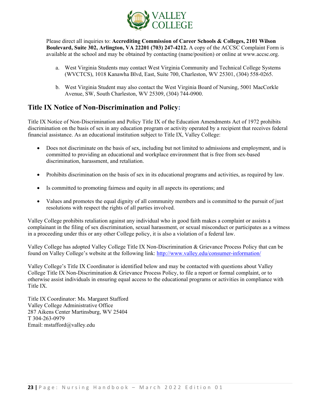

Please direct all inquiries to: **Accrediting Commission of Career Schools & Colleges, 2101 Wilson Boulevard, Suite 302, Arlington, VA 22201 (703) 247-4212.** A copy of the ACCSC Complaint Form is available at the school and may be obtained by contacting (name/position) or online at www.accsc.org.

- a. West Virginia Students may contact West Virginia Community and Technical College Systems (WVCTCS), 1018 Kanawha Blvd, East, Suite 700, Charleston, WV 25301, (304) 558-0265.
- b. West Virginia Student may also contact the West Virginia Board of Nursing, 5001 MacCorkle Avenue, SW, South Charleston, WV 25309, (304) 744-0900.

# <span id="page-23-0"></span>**Title IX Notice of Non-Discrimination and Policy:**

Title IX Notice of Non-Discrimination and Policy Title IX of the Education Amendments Act of 1972 prohibits discrimination on the basis of sex in any education program or activity operated by a recipient that receives federal financial assistance. As an educational institution subject to Title IX, Valley College:

- Does not discriminate on the basis of sex, including but not limited to admissions and employment, and is committed to providing an educational and workplace environment that is free from sex-based discrimination, harassment, and retaliation.
- Prohibits discrimination on the basis of sex in its educational programs and activities, as required by law.
- Is committed to promoting fairness and equity in all aspects its operations; and
- Values and promotes the equal dignity of all community members and is committed to the pursuit of just resolutions with respect the rights of all parties involved.

Valley College prohibits retaliation against any individual who in good faith makes a complaint or assists a complainant in the filing of sex discrimination, sexual harassment, or sexual misconduct or participates as a witness in a proceeding under this or any other College policy, it is also a violation of a federal law.

Valley College has adopted Valley College Title IX Non-Discrimination & Grievance Process Policy that can be found on Valley College's website at the following link:<http://www.valley.edu/consumer-information/>

Valley College's Title IX Coordinator is identified below and may be contacted with questions about Valley College Title IX Non-Discrimination & Grievance Process Policy, to file a report or formal complaint, or to otherwise assist individuals in ensuring equal access to the educational programs or activities in compliance with Title IX.

Title IX Coordinator: Ms. Margaret Stafford Valley College Administrative Office 287 Aikens Center Martinsburg, WV 25404 T 304-263-0979 Email: mstafford@valley.edu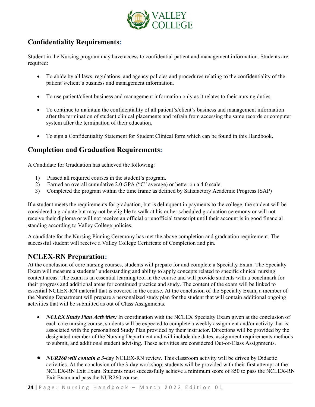

# <span id="page-24-0"></span>**Confidentiality Requirements:**

Student in the Nursing program may have access to confidential patient and management information. Students are required:

- To abide by all laws, regulations, and agency policies and procedures relating to the confidentiality of the patient's/client's business and management information.
- To use patient/client business and management information only as it relates to their nursing duties.
- To continue to maintain the confidentiality of all patient's/client's business and management information after the termination of student clinical placements and refrain from accessing the same records or computer system after the termination of their education.
- To sign a Confidentiality Statement for Student Clinical form which can be found in this Handbook.

# <span id="page-24-1"></span>**Completion and Graduation Requirements:**

A Candidate for Graduation has achieved the following:

- 1) Passed all required courses in the student's program.
- 2) Earned an overall cumulative 2.0 GPA ("C" average) or better on a 4.0 scale
- 3) Completed the program within the time frame as defined by Satisfactory Academic Progress (SAP)

If a student meets the requirements for graduation, but is delinquent in payments to the college, the student will be considered a graduate but may not be eligible to walk at his or her scheduled graduation ceremony or will not receive their diploma or will not receive an official or unofficial transcript until their account is in good financial standing according to Valley College policies.

A candidate for the Nursing Pinning Ceremony has met the above completion and graduation requirement. The successful student will receive a Valley College Certificate of Completion and pin.

# <span id="page-24-2"></span>**NCLEX-RN Preparation:**

At the conclusion of core nursing courses, students will prepare for and complete a Specialty Exam. The Specialty Exam will measure a students' understanding and ability to apply concepts related to specific clinical nursing content areas. The exam is an essential learning tool in the course and will provide students with a benchmark for their progress and additional areas for continued practice and study. The content of the exam will be linked to essential NCLEX-RN material that is covered in the course. At the conclusion of the Specialty Exam, a member of the Nursing Department will prepare a personalized study plan for the student that will contain additional ongoing activities that will be submitted as out of Class Assignments.

- *NCLEX Study Plan Activities:* In coordination with the NCLEX Specialty Exam given at the conclusion of each core nursing course, students will be expected to complete a weekly assignment and/or activity that is associated with the personalized Study Plan provided by their instructor. Directions will be provided by the designated member of the Nursing Department and will include due dates, assignment requirements methods to submit, and additional student advising. These activities are considered Out-of-Class Assignments.
- *NUR260 will contain a 3-*day NCLEX-RN review. This classroom activity will be driven by Didactic activities. At the conclusion of the 3-day workshop, students will be provided with their first attempt at the NCLEX-RN Exit Exam. Students must successfully achieve a minimum score of 850 to pass the NCLEX-RN Exit Exam and pass the NUR260 course.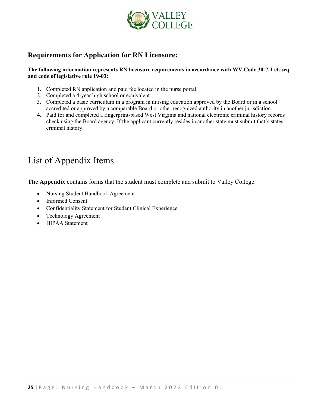

# **Requirements for Application for RN Licensure:**

**The following information represents RN licensure requirements in accordance with WV Code 30-7-1 et. seq. and code of legislative rule 19-03:**

- 1. Completed RN application and paid fee located in the nurse portal.
- 2. Completed a 4-year high school or equivalent.
- 3. Completed a basic curriculum in a program in nursing education approved by the Board or in a school accredited or approved by a comparable Board or other recognized authority in another jurisdiction.
- 4. Paid for and completed a fingerprint-based West Virginia and national electronic criminal history records check using the Board agency. If the applicant currently resides in another state must submit that's states criminal history.

# <span id="page-25-0"></span>List of Appendix Items

**The Appendix** contains forms that the student must complete and submit to Valley College.

- Nursing Student Handbook Agreement
- Informed Consent
- Confidentiality Statement for Student Clinical Experience
- Technology Agreement
- HIPAA Statement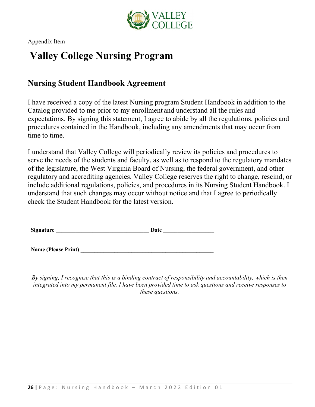

# **Valley College Nursing Program**

# **Nursing Student Handbook Agreement**

I have received a copy of the latest Nursing program Student Handbook in addition to the Catalog provided to me prior to my enrollment and understand all the rules and expectations. By signing this statement, I agree to abide by all the regulations, policies and procedures contained in the Handbook, including any amendments that may occur from time to time.

I understand that Valley College will periodically review its policies and procedures to serve the needs of the students and faculty, as well as to respond to the regulatory mandates of the legislature, the West Virginia Board of Nursing, the federal government, and other regulatory and accrediting agencies. Valley College reserves the right to change, rescind, or include additional regulations, policies, and procedures in its Nursing Student Handbook. I understand that such changes may occur without notice and that I agree to periodically check the Student Handbook for the latest version.

**Signature \_\_\_\_\_\_\_\_\_\_\_\_\_\_\_\_\_\_\_\_\_\_\_\_\_\_\_\_\_\_\_\_\_ Date \_\_\_\_\_\_\_\_\_\_\_\_\_\_\_\_\_\_**

**Name (Please Print) \_\_\_\_\_\_\_\_\_\_\_\_\_\_\_\_\_\_\_\_\_\_\_\_\_\_\_\_\_\_\_\_\_\_\_\_\_\_\_\_\_\_\_\_\_\_\_**

*By signing, I recognize that this is a binding contract of responsibility and accountability, which is then integrated into my permanent file. I have been provided time to ask questions and receive responses to these questions.*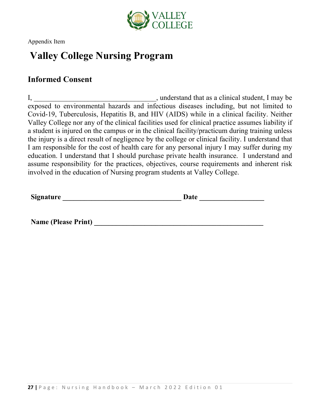

# **Valley College Nursing Program**

# **Informed Consent**

I, \_\_\_\_\_\_\_\_\_\_\_\_\_\_\_\_\_\_\_\_\_\_\_\_\_\_\_\_\_\_\_\_\_\_, understand that as a clinical student, I may be exposed to environmental hazards and infectious diseases including, but not limited to Covid-19, Tuberculosis, Hepatitis B, and HIV (AIDS) while in a clinical facility. Neither Valley College nor any of the clinical facilities used for clinical practice assumes liability if a student is injured on the campus or in the clinical facility/practicum during training unless the injury is a direct result of negligence by the college or clinical facility. I understand that I am responsible for the cost of health care for any personal injury I may suffer during my education. I understand that I should purchase private health insurance. I understand and assume responsibility for the practices, objectives, course requirements and inherent risk involved in the education of Nursing program students at Valley College.

**Signature Date** 

**Name (Please Print) \_\_\_\_\_\_\_\_\_\_\_\_\_\_\_\_\_\_\_\_\_\_\_\_\_\_\_\_\_\_\_\_\_\_\_\_\_\_\_\_\_\_\_\_\_\_\_**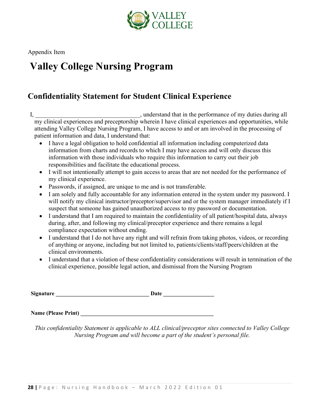

# **Valley College Nursing Program**

# **Confidentiality Statement for Student Clinical Experience**

I, the performance of my duties during all states of my duties during all my clinical experiences and preceptorship wherein I have clinical experiences and opportunities, while attending Valley College Nursing Program, I have access to and or am involved in the processing of patient information and data, I understand that:

- I have a legal obligation to hold confidential all information including computerized data information from charts and records to which I may have access and will only discuss this information with those individuals who require this information to carry out their job responsibilities and facilitate the educational process.
- I will not intentionally attempt to gain access to areas that are not needed for the performance of my clinical experience.
- Passwords, if assigned, are unique to me and is not transferable.
- I am solely and fully accountable for any information entered in the system under my password. I will notify my clinical instructor/preceptor/supervisor and or the system manager immediately if I suspect that someone has gained unauthorized access to my password or documentation.
- I understand that I am required to maintain the confidentiality of all patient/hospital data, always during, after, and following my clinical/preceptor experience and there remains a legal compliance expectation without ending.
- I understand that I do not have any right and will refrain from taking photos, videos, or recording of anything or anyone, including but not limited to, patients/clients/staff/peers/children at the clinical environments.
- I understand that a violation of these confidentiality considerations will result in termination of the clinical experience, possible legal action, and dismissal from the Nursing Program

**Signature \_\_\_\_\_\_\_\_\_\_\_\_\_\_\_\_\_\_\_\_\_\_\_\_\_\_\_\_\_\_\_\_\_ Date \_\_\_\_\_\_\_\_\_\_\_\_\_\_\_\_\_\_**

**Name (Please Print) \_\_\_\_\_\_\_\_\_\_\_\_\_\_\_\_\_\_\_\_\_\_\_\_\_\_\_\_\_\_\_\_\_\_\_\_\_\_\_\_\_\_\_\_\_\_\_**

*This confidentiality Statement is applicable to ALL clinical/preceptor sites connected to Valley College Nursing Program and will become a part of the student's personal file.*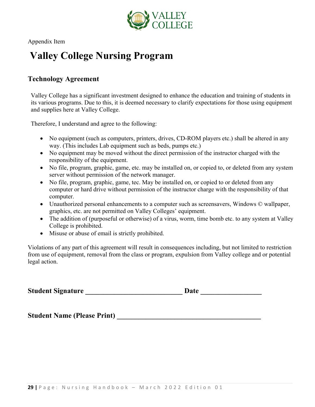

# **Valley College Nursing Program**

# **Technology Agreement**

Valley College has a significant investment designed to enhance the education and training of students in its various programs. Due to this, it is deemed necessary to clarify expectations for those using equipment and supplies here at Valley College.

Therefore, I understand and agree to the following:

- No equipment (such as computers, printers, drives, CD-ROM players etc.) shall be altered in any way. (This includes Lab equipment such as beds, pumps etc.)
- No equipment may be moved without the direct permission of the instructor charged with the responsibility of the equipment.
- No file, program, graphic, game, etc. may be installed on, or copied to, or deleted from any system server without permission of the network manager.
- No file, program, graphic, game, tec. May be installed on, or copied to or deleted from any computer or hard drive without permission of the instructor charge with the responsibility of that computer.
- Unauthorized personal enhancements to a computer such as screensavers, Windows © wallpaper, graphics, etc. are not permitted on Valley Colleges' equipment.
- The addition of (purposeful or otherwise) of a virus, worm, time bomb etc. to any system at Valley College is prohibited.
- Misuse or abuse of email is strictly prohibited.

Violations of any part of this agreement will result in consequences including, but not limited to restriction from use of equipment, removal from the class or program, expulsion from Valley college and or potential legal action.

**Student Signature Date**  $\overline{a}$ 

**Student Name (Please Print) \_\_\_\_\_\_\_\_\_\_\_\_\_\_\_\_\_\_\_\_\_\_\_\_\_\_\_\_\_\_\_\_\_\_\_\_\_\_\_\_**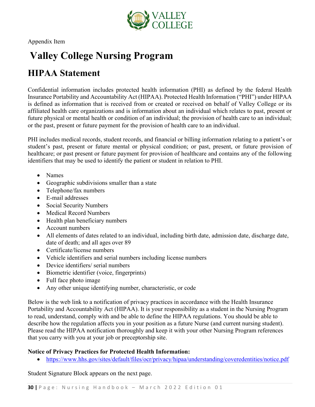

# **Valley College Nursing Program**

# **HIPAA Statement**

Confidential information includes protected health information (PHI) as defined by the federal Health Insurance Portability and Accountability Act (HIPAA). Protected Health Information ("PHI") under HIPAA is defined as information that is received from or created or received on behalf of Valley College or its affiliated health care organizations and is information about an individual which relates to past, present or future physical or mental health or condition of an individual; the provision of health care to an individual; or the past, present or future payment for the provision of health care to an individual.

PHI includes medical records, student records, and financial or billing information relating to a patient's or student's past, present or future mental or physical condition; or past, present, or future provision of healthcare; or past present or future payment for provision of healthcare and contains any of the following identifiers that may be used to identify the patient or student in relation to PHI.

- Names
- Geographic subdivisions smaller than a state
- Telephone/fax numbers
- E-mail addresses
- Social Security Numbers
- Medical Record Numbers
- Health plan beneficiary numbers
- Account numbers
- All elements of dates related to an individual, including birth date, admission date, discharge date, date of death; and all ages over 89
- Certificate/license numbers
- Vehicle identifiers and serial numbers including license numbers
- Device identifiers/ serial numbers
- Biometric identifier (voice, fingerprints)
- Full face photo image
- Any other unique identifying number, characteristic, or code

Below is the web link to a notification of privacy practices in accordance with the Health Insurance Portability and Accountability Act (HIPAA). It is your responsibility as a student in the Nursing Program to read, understand, comply with and be able to define the HIPAA regulations. You should be able to describe how the regulation affects you in your position as a future Nurse (and current nursing student). Please read the HIPAA notification thoroughly and keep it with your other Nursing Program references that you carry with you at your job or preceptorship site.

#### **Notice of Privacy Practices for Protected Health Information:**

• <https://www.hhs.gov/sites/default/files/ocr/privacy/hipaa/understanding/coveredentities/notice.pdf>

Student Signature Block appears on the next page.